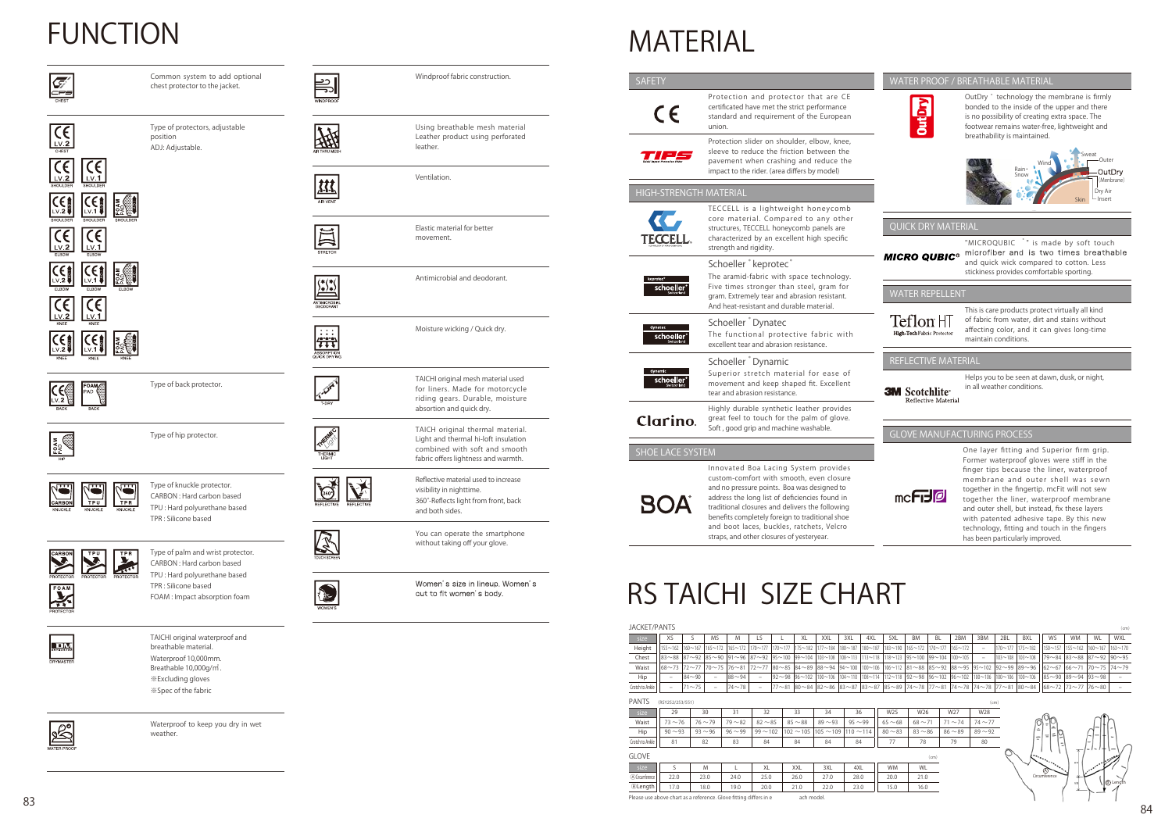# **FUNCTION**



 $C_{\frac{L}{2}}$ 

Common system to add optional



FOAM  $C_{\text{C}}$ 

Windproof fabric construction.







ABSORPTION<br>QUICK DRYING





M V





Women's size in lineup. Women's cut to fit women's body.

Usin g b reathable mesh mate rial Leather product using perforated leather.

Ventilation.

Moisture wicking / Quick dry.

TAICH original thermal mate rial. Light and thermal hi-loft insulation combined with soft and smooth fabric offers lightness and warmth.

You can operate the smartphone

for liners. Made for motorc ycle riding gears. Durable, moisture

TAICHI original mesh material used<br>for liners. Made for motorcycle<br>riding gears. Durable, moisture<br>absortion and quick dry.<br>TAICH original thermal material<br>Light and thermal hi-loft insulation<br>combined with soft and smooth

absortion and quick dry.

Reflecti v e mate rial used to inc rease

visibility in nighttime .

360 °-Reflects light from front, back

chest protector to the jacket. Type of p rotecto rs, adjustable positio n ADJ: Adjustable .

and both sides .

Elastic material for better

movement.

Antimicrobial and deodorant.

Type of back protector.



Type of hip protector.



Type of knuckle protector. CARBON : Hard carbon based TPU : Hard polyurethane based TPR : Silicone based



Type of palm and wrist protector. CARBON : Hard carbon based TPU : Hard polyurethane based TPR : Silicone based FOAM : Impact absorption foam



TAICHI original waterproof and breathable material. Waterproof 10,000mm . Breathable 10,000g / ㎡ . ※Excluding gloves ※Spec of the fabric



Waterproof to keep you dry in wet weather.





## WATER PROOF / BREATHABLE MATERIAL













| MATERIAL                                                                                                                                                                                                                                                                                                                                                                              |                                                                                                                                                                                                                                                                                                                                                                                                                                                                                                                                                                                                                                                                                                                                                                                                                                             |                                                                                                                                                                                                                                                                                                                                                                                                                                     |                                                                                                                                                                                                                                                                                                                                                                                                                                                                                                                                                                                                                                                                                                       |
|---------------------------------------------------------------------------------------------------------------------------------------------------------------------------------------------------------------------------------------------------------------------------------------------------------------------------------------------------------------------------------------|---------------------------------------------------------------------------------------------------------------------------------------------------------------------------------------------------------------------------------------------------------------------------------------------------------------------------------------------------------------------------------------------------------------------------------------------------------------------------------------------------------------------------------------------------------------------------------------------------------------------------------------------------------------------------------------------------------------------------------------------------------------------------------------------------------------------------------------------|-------------------------------------------------------------------------------------------------------------------------------------------------------------------------------------------------------------------------------------------------------------------------------------------------------------------------------------------------------------------------------------------------------------------------------------|-------------------------------------------------------------------------------------------------------------------------------------------------------------------------------------------------------------------------------------------------------------------------------------------------------------------------------------------------------------------------------------------------------------------------------------------------------------------------------------------------------------------------------------------------------------------------------------------------------------------------------------------------------------------------------------------------------|
| <b>SAFETY</b>                                                                                                                                                                                                                                                                                                                                                                         |                                                                                                                                                                                                                                                                                                                                                                                                                                                                                                                                                                                                                                                                                                                                                                                                                                             |                                                                                                                                                                                                                                                                                                                                                                                                                                     | WATER PROOF / BREATHABLE MATERIAL                                                                                                                                                                                                                                                                                                                                                                                                                                                                                                                                                                                                                                                                     |
| CE                                                                                                                                                                                                                                                                                                                                                                                    | Protection and protector that are CE<br>certificated have met the strict performance<br>standard and requirement of the European<br>union.<br>Protection slider on shoulder, elbow, knee,<br>sleeve to reduce the friction between the<br>pavement when crashing and reduce the<br>impact to the rider. (area differs by model)                                                                                                                                                                                                                                                                                                                                                                                                                                                                                                             | <b>OutDry</b>                                                                                                                                                                                                                                                                                                                                                                                                                       | OutDry * technology the membrane is firmly<br>bonded to the inside of the upper and there<br>is no possibility of creating extra space. The<br>footwear remains water-free, lightweight and<br>breathability is maintained.<br>Sweat<br>Outer<br>Rain<br>OutDry<br>Snow                                                                                                                                                                                                                                                                                                                                                                                                                               |
| HIGH-STRENGTH MATERIAL                                                                                                                                                                                                                                                                                                                                                                |                                                                                                                                                                                                                                                                                                                                                                                                                                                                                                                                                                                                                                                                                                                                                                                                                                             |                                                                                                                                                                                                                                                                                                                                                                                                                                     | (Menbrane)<br>Dry Air                                                                                                                                                                                                                                                                                                                                                                                                                                                                                                                                                                                                                                                                                 |
| TECCELL                                                                                                                                                                                                                                                                                                                                                                               | TECCELL is a lightweight honeycomb<br>core material. Compared to any other<br>structures, TECCELL honeycomb panels are<br>characterized by an excellent high specific<br>strength and rigidity.<br>Schoeller <sup>*</sup> keprotec <sup>*</sup>                                                                                                                                                                                                                                                                                                                                                                                                                                                                                                                                                                                             | <b>QUICK DRY MATERIAL</b><br><b>MICRO QUBIC<sup>®</sup></b>                                                                                                                                                                                                                                                                                                                                                                         | Insert<br><b>Skin</b><br>"MICROQUBIC *" is made by soft touch<br>microfiber and is two times breathable<br>and quick wick compared to cotton. Less                                                                                                                                                                                                                                                                                                                                                                                                                                                                                                                                                    |
| keprotec®<br>schoeller <sup>®</sup>                                                                                                                                                                                                                                                                                                                                                   | The aramid-fabric with space technology.<br>Five times stronger than steel, gram for<br>gram. Extremely tear and abrasion resistant.<br>And heat-resistant and durable material.                                                                                                                                                                                                                                                                                                                                                                                                                                                                                                                                                                                                                                                            | <b>WATER REPELLENT</b>                                                                                                                                                                                                                                                                                                                                                                                                              | stickiness provides comfortable sporting.<br>This is care products protect virtually all kind                                                                                                                                                                                                                                                                                                                                                                                                                                                                                                                                                                                                         |
| dynatec<br>schoeller'                                                                                                                                                                                                                                                                                                                                                                 | Schoeller Dynatec<br>The functional protective fabric with<br>excellent tear and abrasion resistance.                                                                                                                                                                                                                                                                                                                                                                                                                                                                                                                                                                                                                                                                                                                                       | Teflon HT<br>High-Tech Fabric Protector                                                                                                                                                                                                                                                                                                                                                                                             | of fabric from water, dirt and stains without<br>affecting color, and it can gives long-time<br>maintain conditions.                                                                                                                                                                                                                                                                                                                                                                                                                                                                                                                                                                                  |
|                                                                                                                                                                                                                                                                                                                                                                                       | Schoeller <sup>*</sup> Dynamic                                                                                                                                                                                                                                                                                                                                                                                                                                                                                                                                                                                                                                                                                                                                                                                                              | REFLECTIVE MATERIAL                                                                                                                                                                                                                                                                                                                                                                                                                 |                                                                                                                                                                                                                                                                                                                                                                                                                                                                                                                                                                                                                                                                                                       |
| dynamic<br>schoeller'                                                                                                                                                                                                                                                                                                                                                                 | Superior stretch material for ease of<br>movement and keep shaped fit. Excellent<br>tear and abrasion resistance.<br>Highly durable synthetic leather provides                                                                                                                                                                                                                                                                                                                                                                                                                                                                                                                                                                                                                                                                              | <b>3M</b> Scotchlite<br>Reflective Material                                                                                                                                                                                                                                                                                                                                                                                         | Helps you to be seen at dawn, dusk, or night,<br>in all weather conditions.                                                                                                                                                                                                                                                                                                                                                                                                                                                                                                                                                                                                                           |
| <b>Clarino.</b>                                                                                                                                                                                                                                                                                                                                                                       | great feel to touch for the palm of glove.<br>Soft, good grip and machine washable.                                                                                                                                                                                                                                                                                                                                                                                                                                                                                                                                                                                                                                                                                                                                                         |                                                                                                                                                                                                                                                                                                                                                                                                                                     | <b>GLOVE MANUFACTURING PROCESS</b>                                                                                                                                                                                                                                                                                                                                                                                                                                                                                                                                                                                                                                                                    |
| <b>SHOE LACE SYSTEM</b><br><b>SOA</b>                                                                                                                                                                                                                                                                                                                                                 | Innovated Boa Lacing System provides<br>custom-comfort with smooth, even closure<br>and no pressure points. Boa was designed to<br>address the long list of deficiencies found in<br>traditional closures and delivers the following<br>benefits completely foreign to traditional shoe<br>and boot laces, buckles, ratchets, Velcro<br>straps, and other closures of yesteryear.                                                                                                                                                                                                                                                                                                                                                                                                                                                           | $mc$ Fr $J$ Ø                                                                                                                                                                                                                                                                                                                                                                                                                       | One layer fitting and Superior firm grip.<br>Former waterproof gloves were stiff in the<br>finger tips because the liner, waterproof<br>membrane and outer shell was sewn<br>together in the fingertip. mcFit will not sew<br>together the liner, waterproof membrane<br>and outer shell, but instead, fix these layers<br>with patented adhesive tape. By this new<br>technology, fitting and touch in the fingers<br>has been particularly improved.                                                                                                                                                                                                                                                |
| <b>JACKET/PANTS</b><br>XS<br>S<br>size<br>$155 - 162$<br>$160 - 167$<br>Height<br>$83 - 88$<br>$87 - 92$<br>Chest<br>$68 - 73$<br>$72 - 77$<br>Waist<br>$84 - 90$<br>Hip<br>$\overline{\phantom{a}}$<br>$71 - 75$<br>Crotch to Ankle<br>$\overline{\phantom{a}}$<br><b>PANTS</b><br>(RSY252/253/551)<br>29<br>size<br>$73 - 76$<br>Waist<br>$90 - 93$<br>Hip<br>Crotch to Ankle<br>81 | <b>RS TAICHI SIZE CHART</b><br>LS<br><b>MS</b><br>M<br>$\mathsf{L}$<br>XL<br>XXL<br>3XL<br>$165 - 172$<br>$170 - 177$<br>$177 - 184$<br>$165 - 172$<br>$170 - 177$<br>$175 - 182$<br>$180 - 187$<br>$91 - 96$<br>$87 - 92$<br>$95 - 100$<br>$85 - 90$<br>$99 - 104$<br>$103 - 108$<br>$108 - 113$<br>$70 - 75$<br>$76 - 81$<br>$72 - 77$<br>$80\!\sim\!85$<br>$84~89$ 88~94<br>$94 - 100$<br>$96 - 102$<br>$100 - 106$<br>$104 - 110$<br>$88 - 94$<br>$92 - 98$<br>$\equiv$<br>L.<br>$74 - 78$<br>$77 - 81$<br>$80 - 84$<br>$82 - 86$<br>$83 - 87$<br>$\equiv$<br>$\overline{\phantom{a}}$<br>30<br>31<br>32<br>33<br>34<br>36<br>$76 - 79$<br>$82 - 85$<br>$85 - 88$<br>$89 - 93$<br>$95 - 99$<br>$79 - 82$<br>$99 - 102$<br>$105 - 109$<br>$93 - 96$<br>$96 - 99$<br>$102 \sim 105$<br>$110 \sim 114$<br>84<br>82<br>83<br>84<br>84<br>84 | 4XL<br>5XL<br><b>BM</b><br>BL<br>$180 - 187$<br>$183 - 190$<br>$165 - 172$<br>$170 - 177$<br>$95 - 100$<br>$113 - 118$<br>$118 - 123$<br>99~104<br>$106 \sim 112$ 81 ~88<br>$85 - 92$<br>$100 - 106$<br>$108 - 114$<br>$112 - 118$<br>$92 - 98$<br>$96 \sim 102$<br>$85~89$ 74~78<br>$83 - 87$<br>$77 - 81$<br>W25<br>W26<br>W27<br>$65 - 68$<br>$68 \sim 71$<br>$71 - 74$<br>$80 - 83$<br>$83 - 86$<br>$86 - 89$<br>77<br>78<br>79 | (cm)<br>WXL<br>2BM<br>3BM<br>2BL<br>BXL<br><b>WS</b><br><b>WM</b><br>WL<br>$165 - 172$<br>$170 - 177$<br>$175 - 182$<br>$150 - 157$<br>$155 - 162$<br>$160 - 167$<br>$163 - 170$<br>$\equiv$<br>$100 - 105$<br>$103 - 108$<br>$103 - 108$<br>$79 - 84$<br>$83 - 88$<br>$87 - 92$<br>$90 - 95$<br>$95 - 102$<br>$88^{\sim}95$<br>$92 - 99$<br>$89 - 96$<br>$62 - 67$<br>$66 - 71$<br>$70 - 75$<br>$74 - 79$<br>$96 - 102$<br>$100 - 106$<br>$100 - 106$<br>$85 - 90$<br>$89 - 94$<br>$93 - 98$<br>$100 - 106$<br>$\qquad \qquad -$<br>$74 - 78$<br>$74 - 78$<br>$77 - 81$<br>$80 - 84$<br>$68 \sim 72$ 73 ~ 77<br>$76 - 80$<br>$\overline{\phantom{a}}$<br>(cm)<br>W28<br>$74 - 77$<br>$89 - 92$<br>80 |
| <b>GLOVE</b><br>S<br>size<br>22.0<br><b><i>ACircumference</i></b><br>17.0<br><b>®Length</b>                                                                                                                                                                                                                                                                                           | $\mathsf L$<br>M<br>XL<br>XXL<br>3XL<br>4XL<br>24.0<br>25.0<br>27.0<br>23.0<br>26.0<br>28.0<br>18.0<br>19.0<br>20.0<br>21.0<br>22.0<br>23.0<br>Please use above chart as a reference. Glove fitting differs in e<br>ach model.                                                                                                                                                                                                                                                                                                                                                                                                                                                                                                                                                                                                              | (cm)<br><b>WM</b><br>WL<br>20.0<br>21.0<br>15.0<br>16.0                                                                                                                                                                                                                                                                                                                                                                             | $^{\circledR}$<br>Circumference<br><b>B</b> Length                                                                                                                                                                                                                                                                                                                                                                                                                                                                                                                                                                                                                                                    |